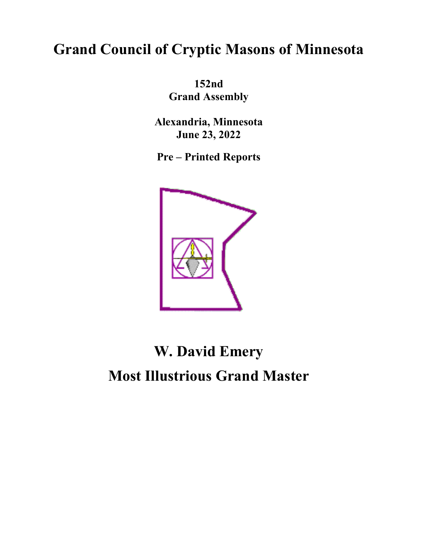# **Grand Council of Cryptic Masons of Minnesota**

**152nd Grand Assembly**

**Alexandria, Minnesota June 23, 2022**

**Pre – Printed Reports**



# **W. David Emery Most Illustrious Grand Master**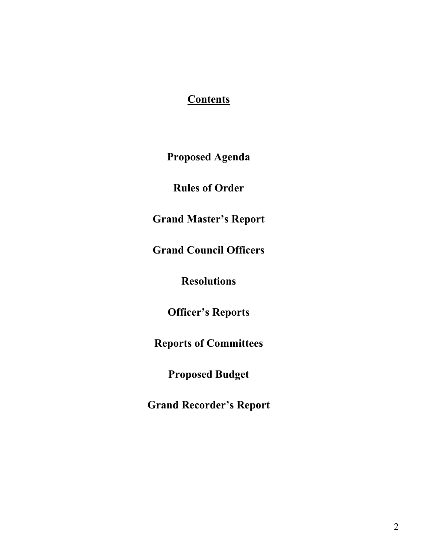### **Contents**

**Proposed Agenda**

**Rules of Order**

**Grand Master's Report**

**Grand Council Officers**

**Resolutions** 

**Officer's Reports**

**Reports of Committees**

**Proposed Budget**

**Grand Recorder's Report**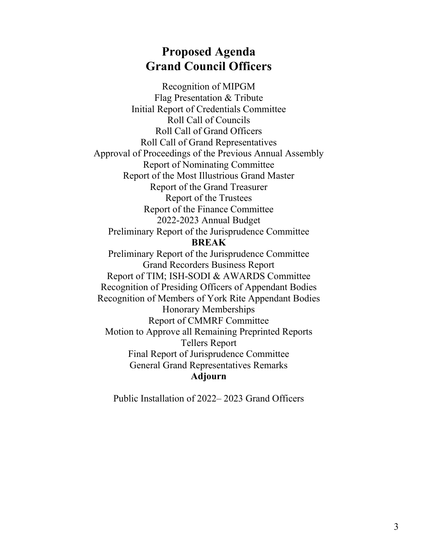# **Proposed Agenda Grand Council Officers**

Recognition of MIPGM Flag Presentation & Tribute Initial Report of Credentials Committee Roll Call of Councils Roll Call of Grand Officers Roll Call of Grand Representatives Approval of Proceedings of the Previous Annual Assembly Report of Nominating Committee Report of the Most Illustrious Grand Master Report of the Grand Treasurer Report of the Trustees Report of the Finance Committee 2022-2023 Annual Budget Preliminary Report of the Jurisprudence Committee **BREAK** Preliminary Report of the Jurisprudence Committee Grand Recorders Business Report Report of TIM; ISH-SODI & AWARDS Committee Recognition of Presiding Officers of Appendant Bodies Recognition of Members of York Rite Appendant Bodies Honorary Memberships Report of CMMRF Committee Motion to Approve all Remaining Preprinted Reports Tellers Report Final Report of Jurisprudence Committee General Grand Representatives Remarks **Adjourn**

Public Installation of 2022– 2023 Grand Officers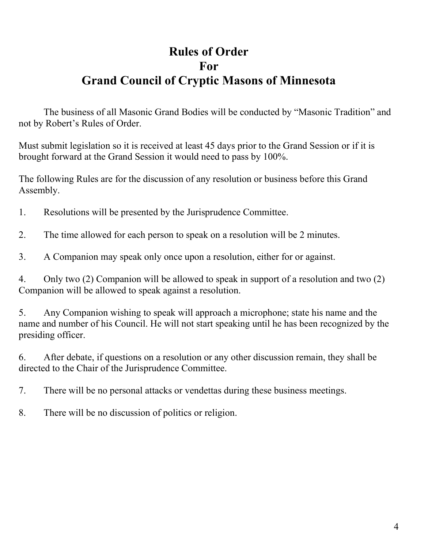# **Rules of Order For Grand Council of Cryptic Masons of Minnesota**

The business of all Masonic Grand Bodies will be conducted by "Masonic Tradition" and not by Robert's Rules of Order.

Must submit legislation so it is received at least 45 days prior to the Grand Session or if it is brought forward at the Grand Session it would need to pass by 100%.

The following Rules are for the discussion of any resolution or business before this Grand Assembly.

- 1. Resolutions will be presented by the Jurisprudence Committee.
- 2. The time allowed for each person to speak on a resolution will be 2 minutes.
- 3. A Companion may speak only once upon a resolution, either for or against.

4. Only two (2) Companion will be allowed to speak in support of a resolution and two (2) Companion will be allowed to speak against a resolution.

5. Any Companion wishing to speak will approach a microphone; state his name and the name and number of his Council. He will not start speaking until he has been recognized by the presiding officer.

6. After debate, if questions on a resolution or any other discussion remain, they shall be directed to the Chair of the Jurisprudence Committee.

7. There will be no personal attacks or vendettas during these business meetings.

8. There will be no discussion of politics or religion.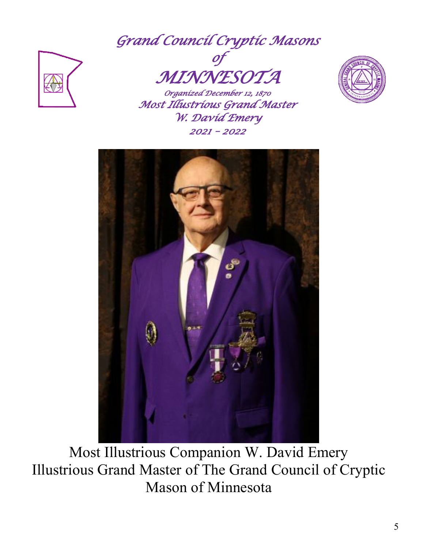*Grand Council Cryptic Masons* 



*of MINNESOTA Organized December 12, 1870* 

*Most Illustrious Grand Master W. David Emery 2021 – 2022* 





Most Illustrious Companion W. David Emery Illustrious Grand Master of The Grand Council of Cryptic Mason of Minnesota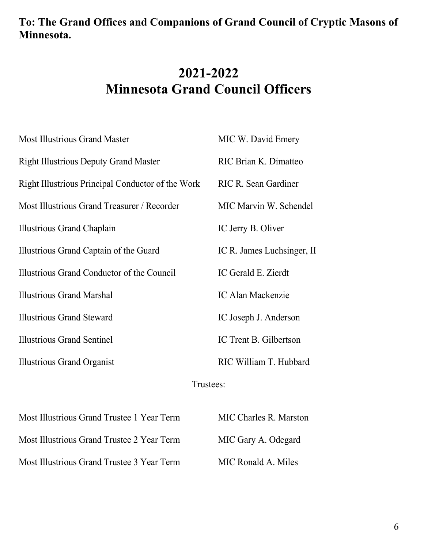# **To: The Grand Offices and Companions of Grand Council of Cryptic Masons of Minnesota.**

# **2021-2022 Minnesota Grand Council Officers**

| <b>Most Illustrious Grand Master</b>              | MIC W. David Emery          |
|---------------------------------------------------|-----------------------------|
| <b>Right Illustrious Deputy Grand Master</b>      | RIC Brian K. Dimatteo       |
| Right Illustrious Principal Conductor of the Work | <b>RIC R. Sean Gardiner</b> |
| Most Illustrious Grand Treasurer / Recorder       | MIC Marvin W. Schendel      |
| Illustrious Grand Chaplain                        | IC Jerry B. Oliver          |
| Illustrious Grand Captain of the Guard            | IC R. James Luchsinger, II  |
| Illustrious Grand Conductor of the Council        | IC Gerald E. Zierdt         |
| <b>Illustrious Grand Marshal</b>                  | <b>IC Alan Mackenzie</b>    |
| <b>Illustrious Grand Steward</b>                  | IC Joseph J. Anderson       |
| <b>Illustrious Grand Sentinel</b>                 | IC Trent B. Gilbertson      |
| <b>Illustrious Grand Organist</b>                 | RIC William T. Hubbard      |

#### Trustees:

| Most Illustrious Grand Trustee 1 Year Term | MIC Charles R. Marston |
|--------------------------------------------|------------------------|
| Most Illustrious Grand Trustee 2 Year Term | MIC Gary A. Odegard    |
| Most Illustrious Grand Trustee 3 Year Term | MIC Ronald A. Miles    |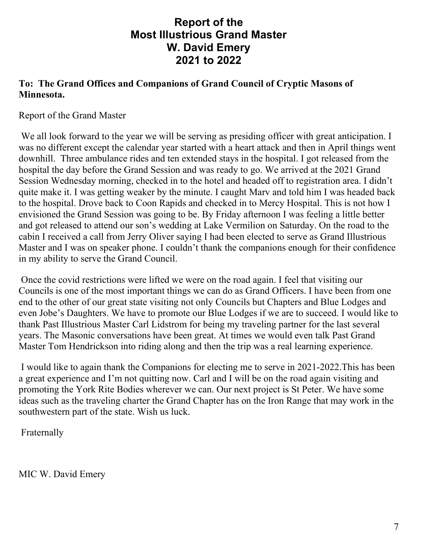### **Report of the Most Illustrious Grand Master W. David Emery 2021 to 2022**

#### **To: The Grand Offices and Companions of Grand Council of Cryptic Masons of Minnesota.**

Report of the Grand Master

We all look forward to the year we will be serving as presiding officer with great anticipation. I was no different except the calendar year started with a heart attack and then in April things went downhill. Three ambulance rides and ten extended stays in the hospital. I got released from the hospital the day before the Grand Session and was ready to go. We arrived at the 2021 Grand Session Wednesday morning, checked in to the hotel and headed off to registration area. I didn't quite make it. I was getting weaker by the minute. I caught Marv and told him I was headed back to the hospital. Drove back to Coon Rapids and checked in to Mercy Hospital. This is not how I envisioned the Grand Session was going to be. By Friday afternoon I was feeling a little better and got released to attend our son's wedding at Lake Vermilion on Saturday. On the road to the cabin I received a call from Jerry Oliver saying I had been elected to serve as Grand Illustrious Master and I was on speaker phone. I couldn't thank the companions enough for their confidence in my ability to serve the Grand Council.

Once the covid restrictions were lifted we were on the road again. I feel that visiting our Councils is one of the most important things we can do as Grand Officers. I have been from one end to the other of our great state visiting not only Councils but Chapters and Blue Lodges and even Jobe's Daughters. We have to promote our Blue Lodges if we are to succeed. I would like to thank Past Illustrious Master Carl Lidstrom for being my traveling partner for the last several years. The Masonic conversations have been great. At times we would even talk Past Grand Master Tom Hendrickson into riding along and then the trip was a real learning experience.

I would like to again thank the Companions for electing me to serve in 2021-2022.This has been a great experience and I'm not quitting now. Carl and I will be on the road again visiting and promoting the York Rite Bodies wherever we can. Our next project is St Peter. We have some ideas such as the traveling charter the Grand Chapter has on the Iron Range that may work in the southwestern part of the state. Wish us luck.

Fraternally

MIC W. David Emery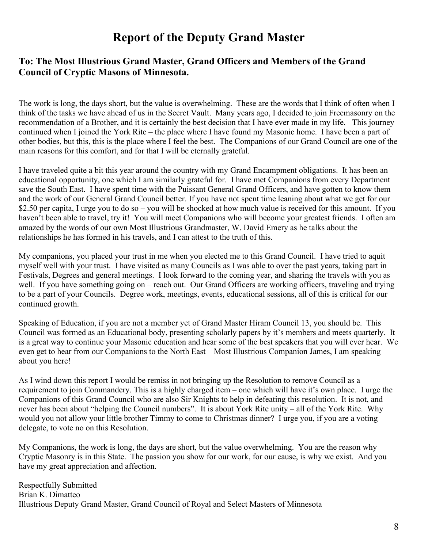# **Report of the Deputy Grand Master**

#### **To: The Most Illustrious Grand Master, Grand Officers and Members of the Grand Council of Cryptic Masons of Minnesota.**

The work is long, the days short, but the value is overwhelming. These are the words that I think of often when I think of the tasks we have ahead of us in the Secret Vault. Many years ago, I decided to join Freemasonry on the recommendation of a Brother, and it is certainly the best decision that I have ever made in my life. This journey continued when I joined the York Rite – the place where I have found my Masonic home. I have been a part of other bodies, but this, this is the place where I feel the best. The Companions of our Grand Council are one of the main reasons for this comfort, and for that I will be eternally grateful.

I have traveled quite a bit this year around the country with my Grand Encampment obligations. It has been an educational opportunity, one which I am similarly grateful for. I have met Companions from every Department save the South East. I have spent time with the Puissant General Grand Officers, and have gotten to know them and the work of our General Grand Council better. If you have not spent time leaning about what we get for our \$2.50 per capita, I urge you to do so – you will be shocked at how much value is received for this amount. If you haven't been able to travel, try it! You will meet Companions who will become your greatest friends. I often am amazed by the words of our own Most Illustrious Grandmaster, W. David Emery as he talks about the relationships he has formed in his travels, and I can attest to the truth of this.

My companions, you placed your trust in me when you elected me to this Grand Council. I have tried to aquit myself well with your trust. I have visited as many Councils as I was able to over the past years, taking part in Festivals, Degrees and general meetings. I look forward to the coming year, and sharing the travels with you as well. If you have something going on – reach out. Our Grand Officers are working officers, traveling and trying to be a part of your Councils. Degree work, meetings, events, educational sessions, all of this is critical for our continued growth.

Speaking of Education, if you are not a member yet of Grand Master Hiram Council 13, you should be. This Council was formed as an Educational body, presenting scholarly papers by it's members and meets quarterly. It is a great way to continue your Masonic education and hear some of the best speakers that you will ever hear. We even get to hear from our Companions to the North East – Most Illustrious Companion James, I am speaking about you here!

As I wind down this report I would be remiss in not bringing up the Resolution to remove Council as a requirement to join Commandery. This is a highly charged item – one which will have it's own place. I urge the Companions of this Grand Council who are also Sir Knights to help in defeating this resolution. It is not, and never has been about "helping the Council numbers". It is about York Rite unity – all of the York Rite. Why would you not allow your little brother Timmy to come to Christmas dinner? I urge you, if you are a voting delegate, to vote no on this Resolution.

My Companions, the work is long, the days are short, but the value overwhelming. You are the reason why Cryptic Masonry is in this State. The passion you show for our work, for our cause, is why we exist. And you have my great appreciation and affection.

Respectfully Submitted Brian K. Dimatteo Illustrious Deputy Grand Master, Grand Council of Royal and Select Masters of Minnesota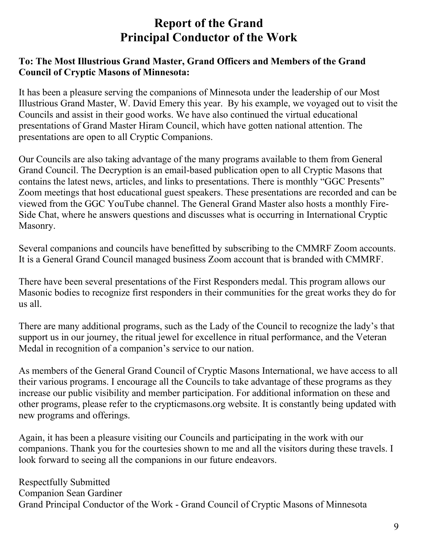# **Report of the Grand Principal Conductor of the Work**

#### **To: The Most Illustrious Grand Master, Grand Officers and Members of the Grand Council of Cryptic Masons of Minnesota:**

It has been a pleasure serving the companions of Minnesota under the leadership of our Most Illustrious Grand Master, W. David Emery this year. By his example, we voyaged out to visit the Councils and assist in their good works. We have also continued the virtual educational presentations of Grand Master Hiram Council, which have gotten national attention. The presentations are open to all Cryptic Companions.

Our Councils are also taking advantage of the many programs available to them from General Grand Council. The Decryption is an email-based publication open to all Cryptic Masons that contains the latest news, articles, and links to presentations. There is monthly "GGC Presents" Zoom meetings that host educational guest speakers. These presentations are recorded and can be viewed from the GGC YouTube channel. The General Grand Master also hosts a monthly Fire-Side Chat, where he answers questions and discusses what is occurring in International Cryptic Masonry.

Several companions and councils have benefitted by subscribing to the CMMRF Zoom accounts. It is a General Grand Council managed business Zoom account that is branded with CMMRF.

There have been several presentations of the First Responders medal. This program allows our Masonic bodies to recognize first responders in their communities for the great works they do for us all.

There are many additional programs, such as the Lady of the Council to recognize the lady's that support us in our journey, the ritual jewel for excellence in ritual performance, and the Veteran Medal in recognition of a companion's service to our nation.

As members of the General Grand Council of Cryptic Masons International, we have access to all their various programs. I encourage all the Councils to take advantage of these programs as they increase our public visibility and member participation. For additional information on these and other programs, please refer to the crypticmasons.org website. It is constantly being updated with new programs and offerings.

Again, it has been a pleasure visiting our Councils and participating in the work with our companions. Thank you for the courtesies shown to me and all the visitors during these travels. I look forward to seeing all the companions in our future endeavors.

Respectfully Submitted Companion Sean Gardiner Grand Principal Conductor of the Work - Grand Council of Cryptic Masons of Minnesota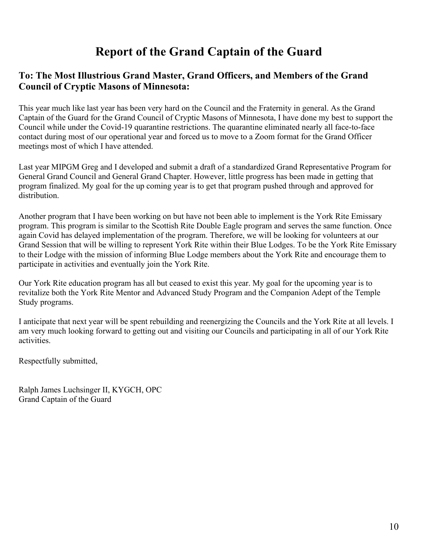# **Report of the Grand Captain of the Guard**

#### **To: The Most Illustrious Grand Master, Grand Officers, and Members of the Grand Council of Cryptic Masons of Minnesota:**

This year much like last year has been very hard on the Council and the Fraternity in general. As the Grand Captain of the Guard for the Grand Council of Cryptic Masons of Minnesota, I have done my best to support the Council while under the Covid-19 quarantine restrictions. The quarantine eliminated nearly all face-to-face contact during most of our operational year and forced us to move to a Zoom format for the Grand Officer meetings most of which I have attended.

Last year MIPGM Greg and I developed and submit a draft of a standardized Grand Representative Program for General Grand Council and General Grand Chapter. However, little progress has been made in getting that program finalized. My goal for the up coming year is to get that program pushed through and approved for distribution.

Another program that I have been working on but have not been able to implement is the York Rite Emissary program. This program is similar to the Scottish Rite Double Eagle program and serves the same function. Once again Covid has delayed implementation of the program. Therefore, we will be looking for volunteers at our Grand Session that will be willing to represent York Rite within their Blue Lodges. To be the York Rite Emissary to their Lodge with the mission of informing Blue Lodge members about the York Rite and encourage them to participate in activities and eventually join the York Rite.

Our York Rite education program has all but ceased to exist this year. My goal for the upcoming year is to revitalize both the York Rite Mentor and Advanced Study Program and the Companion Adept of the Temple Study programs.

I anticipate that next year will be spent rebuilding and reenergizing the Councils and the York Rite at all levels. I am very much looking forward to getting out and visiting our Councils and participating in all of our York Rite activities.

Respectfully submitted,

Ralph James Luchsinger II, KYGCH, OPC Grand Captain of the Guard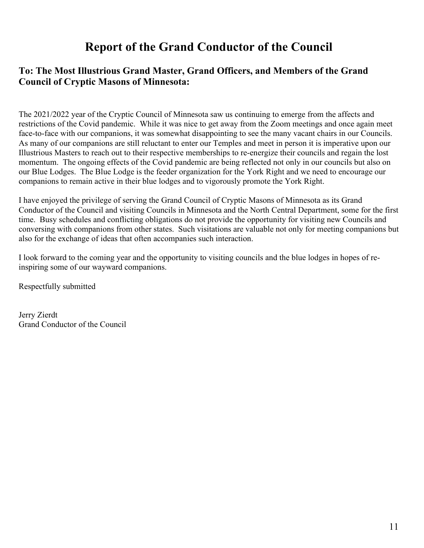# **Report of the Grand Conductor of the Council**

#### **To: The Most Illustrious Grand Master, Grand Officers, and Members of the Grand Council of Cryptic Masons of Minnesota:**

The 2021/2022 year of the Cryptic Council of Minnesota saw us continuing to emerge from the affects and restrictions of the Covid pandemic. While it was nice to get away from the Zoom meetings and once again meet face-to-face with our companions, it was somewhat disappointing to see the many vacant chairs in our Councils. As many of our companions are still reluctant to enter our Temples and meet in person it is imperative upon our Illustrious Masters to reach out to their respective memberships to re-energize their councils and regain the lost momentum. The ongoing effects of the Covid pandemic are being reflected not only in our councils but also on our Blue Lodges. The Blue Lodge is the feeder organization for the York Right and we need to encourage our companions to remain active in their blue lodges and to vigorously promote the York Right.

I have enjoyed the privilege of serving the Grand Council of Cryptic Masons of Minnesota as its Grand Conductor of the Council and visiting Councils in Minnesota and the North Central Department, some for the first time. Busy schedules and conflicting obligations do not provide the opportunity for visiting new Councils and conversing with companions from other states. Such visitations are valuable not only for meeting companions but also for the exchange of ideas that often accompanies such interaction.

I look forward to the coming year and the opportunity to visiting councils and the blue lodges in hopes of reinspiring some of our wayward companions.

Respectfully submitted

Jerry Zierdt Grand Conductor of the Council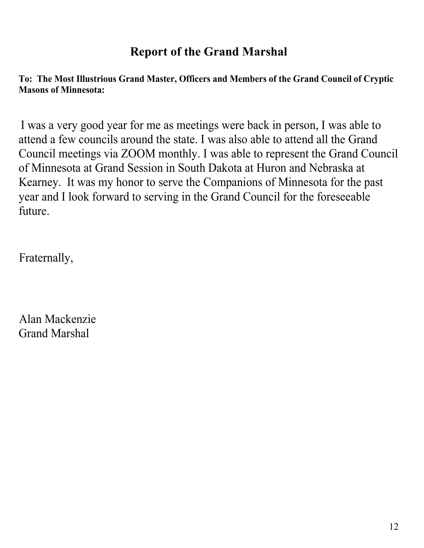# **Report of the Grand Marshal**

**To: The Most Illustrious Grand Master, Officers and Members of the Grand Council of Cryptic Masons of Minnesota:**

I was a very good year for me as meetings were back in person, I was able to attend a few councils around the state. I was also able to attend all the Grand Council meetings via ZOOM monthly. I was able to represent the Grand Council of Minnesota at Grand Session in South Dakota at Huron and Nebraska at Kearney. It was my honor to serve the Companions of Minnesota for the past year and I look forward to serving in the Grand Council for the foreseeable future.

Fraternally,

Alan Mackenzie Grand Marshal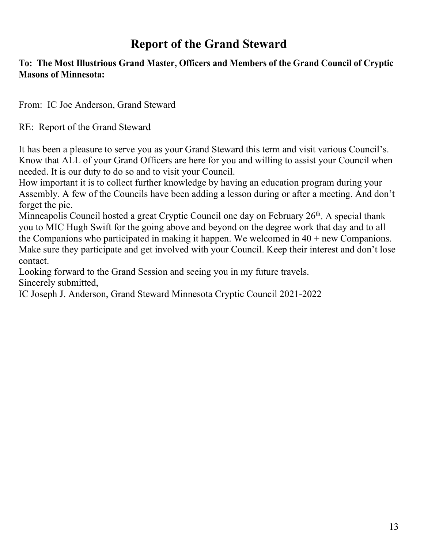# **Report of the Grand Steward**

#### **To: The Most Illustrious Grand Master, Officers and Members of the Grand Council of Cryptic Masons of Minnesota:**

From: IC Joe Anderson, Grand Steward

RE: Report of the Grand Steward

It has been a pleasure to serve you as your Grand Steward this term and visit various Council's. Know that ALL of your Grand Officers are here for you and willing to assist your Council when needed. It is our duty to do so and to visit your Council.

How important it is to collect further knowledge by having an education program during your Assembly. A few of the Councils have been adding a lesson during or after a meeting. And don't forget the pie.

Minneapolis Council hosted a great Cryptic Council one day on February 26<sup>th</sup>. A special thank you to MIC Hugh Swift for the going above and beyond on the degree work that day and to all the Companions who participated in making it happen. We welcomed in  $40 + new \text{ Companions}$ . Make sure they participate and get involved with your Council. Keep their interest and don't lose contact.

Looking forward to the Grand Session and seeing you in my future travels. Sincerely submitted,

IC Joseph J. Anderson, Grand Steward Minnesota Cryptic Council 2021-2022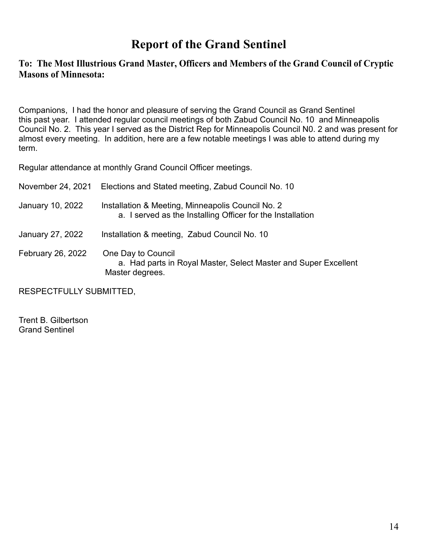# **Report of the Grand Sentinel**

#### **To: The Most Illustrious Grand Master, Officers and Members of the Grand Council of Cryptic Masons of Minnesota:**

Companions, I had the honor and pleasure of serving the Grand Council as Grand Sentinel this past year. I attended regular council meetings of both Zabud Council No. 10 and Minneapolis Council No. 2. This year I served as the District Rep for Minneapolis Council N0. 2 and was present for almost every meeting. In addition, here are a few notable meetings I was able to attend during my term.

Regular attendance at monthly Grand Council Officer meetings.

| November 24, 2021 | Elections and Stated meeting, Zabud Council No. 10                                                              |
|-------------------|-----------------------------------------------------------------------------------------------------------------|
| January 10, 2022  | Installation & Meeting, Minneapolis Council No. 2<br>a. I served as the Installing Officer for the Installation |
| January 27, 2022  | Installation & meeting, Zabud Council No. 10                                                                    |
| February 26, 2022 | One Day to Council<br>a. Had parts in Royal Master, Select Master and Super Excellent<br>Master degrees.        |

RESPECTFULLY SUBMITTED,

Trent B. Gilbertson Grand Sentinel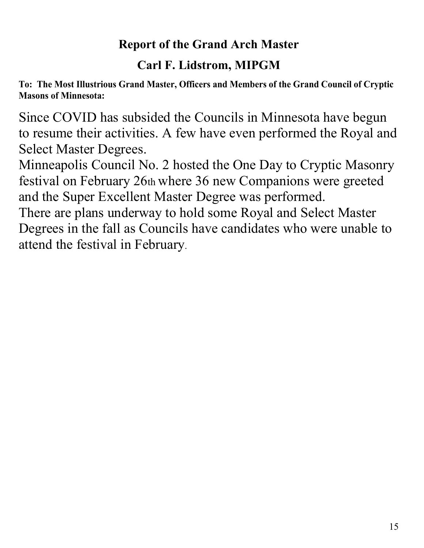# **Report of the Grand Arch Master**

# **Carl F. Lidstrom, MIPGM**

**To: The Most Illustrious Grand Master, Officers and Members of the Grand Council of Cryptic Masons of Minnesota:**

Since COVID has subsided the Councils in Minnesota have begun to resume their activities. A few have even performed the Royal and Select Master Degrees.

Minneapolis Council No. 2 hosted the One Day to Cryptic Masonry festival on February 26th where 36 new Companions were greeted and the Super Excellent Master Degree was performed.

There are plans underway to hold some Royal and Select Master Degrees in the fall as Councils have candidates who were unable to attend the festival in February.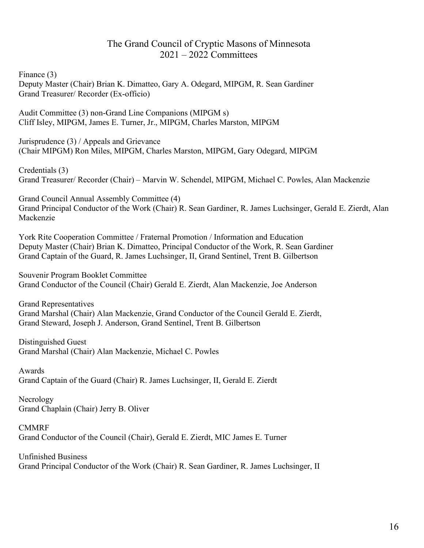#### The Grand Council of Cryptic Masons of Minnesota 2021 – 2022 Committees

Finance (3)

Deputy Master (Chair) Brian K. Dimatteo, Gary A. Odegard, MIPGM, R. Sean Gardiner Grand Treasurer/ Recorder (Ex-officio)

Audit Committee (3) non-Grand Line Companions (MIPGM s) Cliff Isley, MIPGM, James E. Turner, Jr., MIPGM, Charles Marston, MIPGM

Jurisprudence (3) / Appeals and Grievance (Chair MIPGM) Ron Miles, MIPGM, Charles Marston, MIPGM, Gary Odegard, MIPGM

Credentials (3) Grand Treasurer/ Recorder (Chair) – Marvin W. Schendel, MIPGM, Michael C. Powles, Alan Mackenzie

Grand Council Annual Assembly Committee (4) Grand Principal Conductor of the Work (Chair) R. Sean Gardiner, R. James Luchsinger, Gerald E. Zierdt, Alan Mackenzie

York Rite Cooperation Committee / Fraternal Promotion / Information and Education Deputy Master (Chair) Brian K. Dimatteo, Principal Conductor of the Work, R. Sean Gardiner Grand Captain of the Guard, R. James Luchsinger, II, Grand Sentinel, Trent B. Gilbertson

Souvenir Program Booklet Committee Grand Conductor of the Council (Chair) Gerald E. Zierdt, Alan Mackenzie, Joe Anderson

Grand Representatives Grand Marshal (Chair) Alan Mackenzie, Grand Conductor of the Council Gerald E. Zierdt, Grand Steward, Joseph J. Anderson, Grand Sentinel, Trent B. Gilbertson

Distinguished Guest Grand Marshal (Chair) Alan Mackenzie, Michael C. Powles

Awards Grand Captain of the Guard (Chair) R. James Luchsinger, II, Gerald E. Zierdt

Necrology Grand Chaplain (Chair) Jerry B. Oliver

CMMRF Grand Conductor of the Council (Chair), Gerald E. Zierdt, MIC James E. Turner

Unfinished Business Grand Principal Conductor of the Work (Chair) R. Sean Gardiner, R. James Luchsinger, II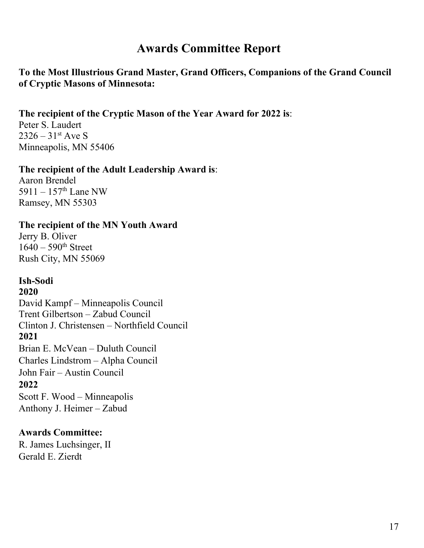# **Awards Committee Report**

#### **To the Most Illustrious Grand Master, Grand Officers, Companions of the Grand Council of Cryptic Masons of Minnesota:**

#### **The recipient of the Cryptic Mason of the Year Award for 2022 is**:

Peter S. Laudert  $2326 - 31$ <sup>st</sup> Ave S Minneapolis, MN 55406

#### **The recipient of the Adult Leadership Award is**:

Aaron Brendel 5911 –  $157^{\text{th}}$  Lane NW Ramsey, MN 55303

#### **The recipient of the MN Youth Award**

Jerry B. Oliver  $1640 - 590$ <sup>th</sup> Street Rush City, MN 55069

#### **Ish-Sodi**

#### **2020**

David Kampf – Minneapolis Council Trent Gilbertson – Zabud Council Clinton J. Christensen – Northfield Council **2021** Brian E. McVean – Duluth Council Charles Lindstrom – Alpha Council John Fair – Austin Council **2022** Scott F. Wood – Minneapolis Anthony J. Heimer – Zabud

#### **Awards Committee:**

R. James Luchsinger, II Gerald E. Zierdt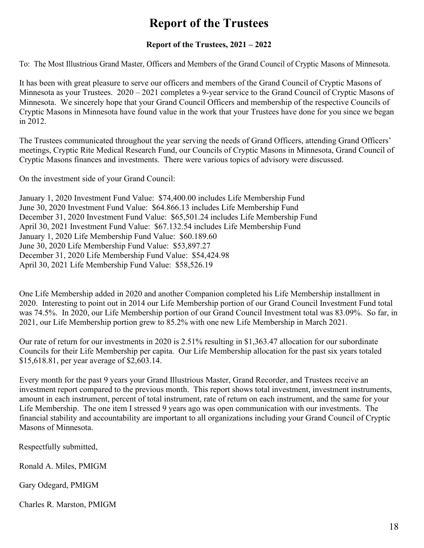# **Report of the Trustees**

#### **Report of the Trustees, 2021 – 2022**

To: The Most Illustrious Grand Master, Officers and Members of the Grand Council of Cryptic Masons of Minnesota.

It has been with great pleasure to serve our officers and members of the Grand Council of Cryptic Masons of Minnesota as your Trustees. 2020 – 2021 completes a 9-year service to the Grand Council of Cryptic Masons of Minnesota. We sincerely hope that your Grand Council Officers and membership of the respective Councils of Cryptic Masons in Minnesota have found value in the work that your Trustees have done for you since we began in 2012.

The Trustees communicated throughout the year serving the needs of Grand Officers, attending Grand Officers' meetings, Cryptic Rite Medical Research Fund, our Councils of Cryptic Masons in Minnesota, Grand Council of Cryptic Masons finances and investments. There were various topics of advisory were discussed.

On the investment side of your Grand Council:

January 1, 2020 Investment Fund Value: \$74,400.00 includes Life Membership Fund June 30, 2020 Investment Fund Value: \$64.866.13 includes Life Membership Fund December 31, 2020 Investment Fund Value: \$65,501.24 includes Life Membership Fund April 30, 2021 Investment Fund Value: \$67.132.54 includes Life Membership Fund January 1, 2020 Life Membership Fund Value: \$60.189.60 June 30, 2020 Life Membership Fund Value: \$53,897.27 December 31, 2020 Life Membership Fund Value: \$54,424.98 April 30, 2021 Life Membership Fund Value: \$58,526.19

One Life Membership added in 2020 and another Companion completed his Life Membership installment in 2020. Interesting to point out in 2014 our Life Membership portion of our Grand Council Investment Fund total was 74.5%. In 2020, our Life Membership portion of our Grand Council Investment total was 83.09%. So far, in 2021, our Life Membership portion grew to 85.2% with one new Life Membership in March 2021.

Our rate of return for our investments in 2020 is 2.51% resulting in \$1,363.47 allocation for our subordinate Councils for their Life Membership per capita. Our Life Membership allocation for the past six years totaled \$15,618.81, per year average of \$2,603.14.

Every month for the past 9 years your Grand Illustrious Master, Grand Recorder, and Trustees receive an investment report compared to the previous month. This report shows total investment, investment instruments, amount in each instrument, percent of total instrument, rate of return on each instrument, and the same for your Life Membership. The one item I stressed 9 years ago was open communication with our investments. The financial stability and accountability are important to all organizations including your Grand Council of Cryptic Masons of Minnesota.

Respectfully submitted,

Ronald A. Miles, PMIGM

Gary Odegard, PMIGM

Charles R. Marston, PMIGM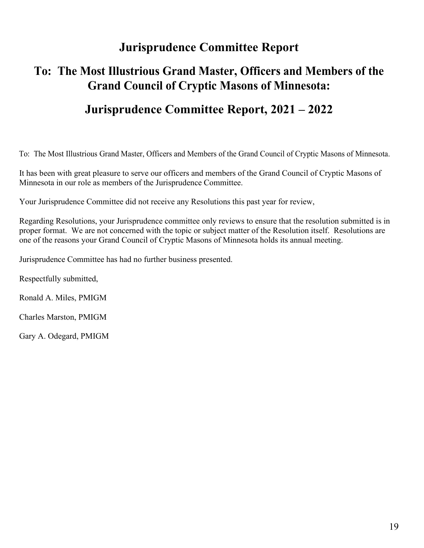# **Jurisprudence Committee Report**

## **To: The Most Illustrious Grand Master, Officers and Members of the Grand Council of Cryptic Masons of Minnesota:**

### **Jurisprudence Committee Report, 2021 – 2022**

To: The Most Illustrious Grand Master, Officers and Members of the Grand Council of Cryptic Masons of Minnesota.

It has been with great pleasure to serve our officers and members of the Grand Council of Cryptic Masons of Minnesota in our role as members of the Jurisprudence Committee.

Your Jurisprudence Committee did not receive any Resolutions this past year for review,

Regarding Resolutions, your Jurisprudence committee only reviews to ensure that the resolution submitted is in proper format. We are not concerned with the topic or subject matter of the Resolution itself. Resolutions are one of the reasons your Grand Council of Cryptic Masons of Minnesota holds its annual meeting.

Jurisprudence Committee has had no further business presented.

Respectfully submitted,

Ronald A. Miles, PMIGM

Charles Marston, PMIGM

Gary A. Odegard, PMIGM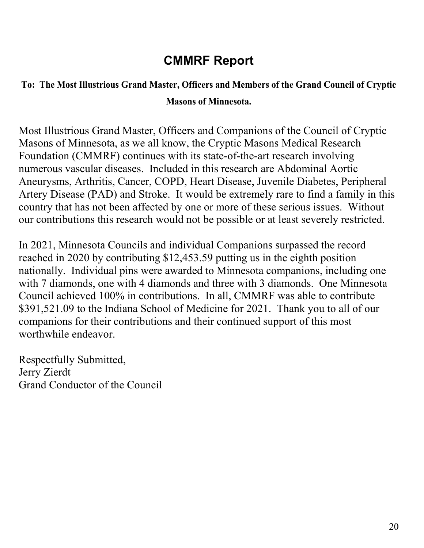# **CMMRF Report**

# **To: The Most Illustrious Grand Master, Officers and Members of the Grand Council of Cryptic Masons of Minnesota.**

Most Illustrious Grand Master, Officers and Companions of the Council of Cryptic Masons of Minnesota, as we all know, the Cryptic Masons Medical Research Foundation (CMMRF) continues with its state-of-the-art research involving numerous vascular diseases. Included in this research are Abdominal Aortic Aneurysms, Arthritis, Cancer, COPD, Heart Disease, Juvenile Diabetes, Peripheral Artery Disease (PAD) and Stroke. It would be extremely rare to find a family in this country that has not been affected by one or more of these serious issues. Without our contributions this research would not be possible or at least severely restricted.

In 2021, Minnesota Councils and individual Companions surpassed the record reached in 2020 by contributing \$12,453.59 putting us in the eighth position nationally. Individual pins were awarded to Minnesota companions, including one with 7 diamonds, one with 4 diamonds and three with 3 diamonds. One Minnesota Council achieved 100% in contributions. In all, CMMRF was able to contribute \$391,521.09 to the Indiana School of Medicine for 2021. Thank you to all of our companions for their contributions and their continued support of this most worthwhile endeavor.

Respectfully Submitted, Jerry Zierdt Grand Conductor of the Council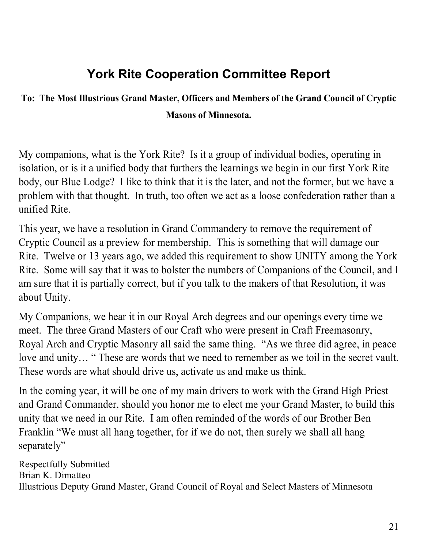# **York Rite Cooperation Committee Report**

# **To: The Most Illustrious Grand Master, Officers and Members of the Grand Council of Cryptic Masons of Minnesota.**

My companions, what is the York Rite? Is it a group of individual bodies, operating in isolation, or is it a unified body that furthers the learnings we begin in our first York Rite body, our Blue Lodge? I like to think that it is the later, and not the former, but we have a problem with that thought. In truth, too often we act as a loose confederation rather than a unified Rite.

This year, we have a resolution in Grand Commandery to remove the requirement of Cryptic Council as a preview for membership. This is something that will damage our Rite. Twelve or 13 years ago, we added this requirement to show UNITY among the York Rite. Some will say that it was to bolster the numbers of Companions of the Council, and I am sure that it is partially correct, but if you talk to the makers of that Resolution, it was about Unity.

My Companions, we hear it in our Royal Arch degrees and our openings every time we meet. The three Grand Masters of our Craft who were present in Craft Freemasonry, Royal Arch and Cryptic Masonry all said the same thing. "As we three did agree, in peace love and unity… " These are words that we need to remember as we toil in the secret vault. These words are what should drive us, activate us and make us think.

In the coming year, it will be one of my main drivers to work with the Grand High Priest and Grand Commander, should you honor me to elect me your Grand Master, to build this unity that we need in our Rite. I am often reminded of the words of our Brother Ben Franklin "We must all hang together, for if we do not, then surely we shall all hang separately"

Respectfully Submitted Brian K. Dimatteo Illustrious Deputy Grand Master, Grand Council of Royal and Select Masters of Minnesota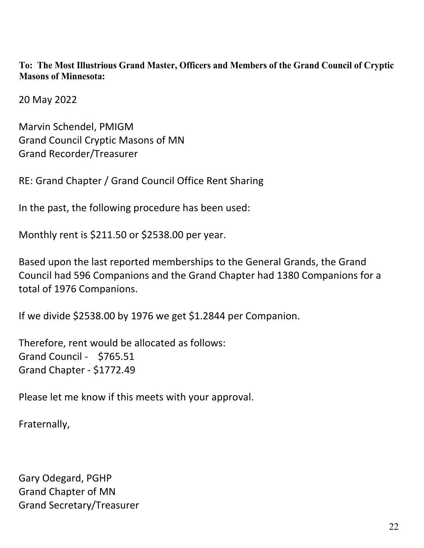**To: The Most Illustrious Grand Master, Officers and Members of the Grand Council of Cryptic Masons of Minnesota:**

20 May 2022

Marvin Schendel, PMIGM Grand Council Cryptic Masons of MN Grand Recorder/Treasurer

RE: Grand Chapter / Grand Council Office Rent Sharing

In the past, the following procedure has been used:

Monthly rent is \$211.50 or \$2538.00 per year.

Based upon the last reported memberships to the General Grands, the Grand Council had 596 Companions and the Grand Chapter had 1380 Companions for a total of 1976 Companions.

If we divide \$2538.00 by 1976 we get \$1.2844 per Companion.

Therefore, rent would be allocated as follows: Grand Council - \$765.51 Grand Chapter - \$1772.49

Please let me know if this meets with your approval.

Fraternally,

Gary Odegard, PGHP Grand Chapter of MN Grand Secretary/Treasurer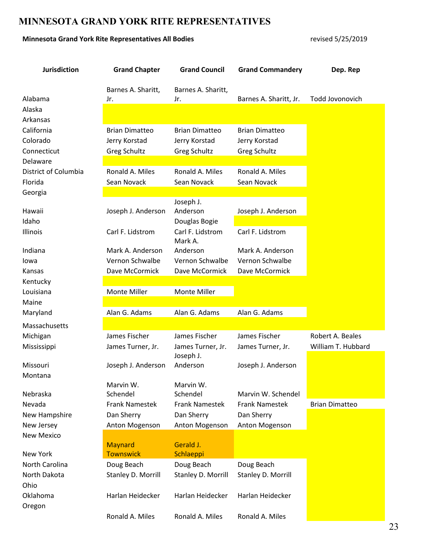#### **MINNESOTA GRAND YORK RITE REPRESENTATIVES**

#### **Minnesota Grand York Rite Representatives All Bodies** revised 5/25/2019

| <b>Jurisdiction</b>  | <b>Grand Chapter</b>  | <b>Grand Council</b>        | <b>Grand Commandery</b> | Dep. Rep              |
|----------------------|-----------------------|-----------------------------|-------------------------|-----------------------|
|                      | Barnes A. Sharitt,    | Barnes A. Sharitt,          |                         |                       |
| Alabama              | Jr.                   | Jr.                         | Barnes A. Sharitt, Jr.  | Todd Jovonovich       |
| Alaska               |                       |                             |                         |                       |
| Arkansas             |                       |                             |                         |                       |
| California           | <b>Brian Dimatteo</b> | <b>Brian Dimatteo</b>       | <b>Brian Dimatteo</b>   |                       |
| Colorado             | Jerry Korstad         | Jerry Korstad               | Jerry Korstad           |                       |
| Connecticut          | <b>Greg Schultz</b>   | <b>Greg Schultz</b>         | <b>Greg Schultz</b>     |                       |
| Delaware             |                       |                             |                         |                       |
| District of Columbia | Ronald A. Miles       | Ronald A. Miles             | Ronald A. Miles         |                       |
| Florida              | Sean Novack           | Sean Novack                 | Sean Novack             |                       |
| Georgia              |                       |                             |                         |                       |
|                      |                       | Joseph J.                   |                         |                       |
| Hawaii               | Joseph J. Anderson    | Anderson                    | Joseph J. Anderson      |                       |
| Idaho                |                       | Douglas Bogie               |                         |                       |
| Illinois             | Carl F. Lidstrom      | Carl F. Lidstrom<br>Mark A. | Carl F. Lidstrom        |                       |
| Indiana              | Mark A. Anderson      | Anderson                    | Mark A. Anderson        |                       |
| lowa                 | Vernon Schwalbe       | Vernon Schwalbe             | Vernon Schwalbe         |                       |
| Kansas               | Dave McCormick        | Dave McCormick              | Dave McCormick          |                       |
| Kentucky             |                       |                             |                         |                       |
| Louisiana            | Monte Miller          | Monte Miller                |                         |                       |
| Maine                |                       |                             |                         |                       |
| Maryland             | Alan G. Adams         | Alan G. Adams               | Alan G. Adams           |                       |
| Massachusetts        |                       |                             |                         |                       |
| Michigan             | James Fischer         | James Fischer               | James Fischer           | Robert A. Beales      |
| Mississippi          | James Turner, Jr.     | James Turner, Jr.           | James Turner, Jr.       | William T. Hubbard    |
| Missouri             | Joseph J. Anderson    | Joseph J.<br>Anderson       | Joseph J. Anderson      |                       |
| Montana              |                       |                             |                         |                       |
|                      | Marvin W.             | Marvin W.                   |                         |                       |
| Nebraska             | Schendel              | Schendel                    | Marvin W. Schendel      |                       |
| Nevada               | <b>Frank Namestek</b> | <b>Frank Namestek</b>       | <b>Frank Namestek</b>   | <b>Brian Dimatteo</b> |
| New Hampshire        | Dan Sherry            | Dan Sherry                  | Dan Sherry              |                       |
| New Jersey           | Anton Mogenson        | Anton Mogenson              | Anton Mogenson          |                       |
| <b>New Mexico</b>    |                       |                             |                         |                       |
|                      | <b>Maynard</b>        | Gerald J.                   |                         |                       |
| New York             | <b>Townswick</b>      | Schlaeppi                   |                         |                       |
| North Carolina       | Doug Beach            | Doug Beach                  | Doug Beach              |                       |
| North Dakota         | Stanley D. Morrill    | Stanley D. Morrill          | Stanley D. Morrill      |                       |
| Ohio                 |                       |                             |                         |                       |
| Oklahoma             | Harlan Heidecker      | Harlan Heidecker            | Harlan Heidecker        |                       |
| Oregon               |                       |                             |                         |                       |
|                      | Ronald A. Miles       | Ronald A. Miles             | Ronald A. Miles         |                       |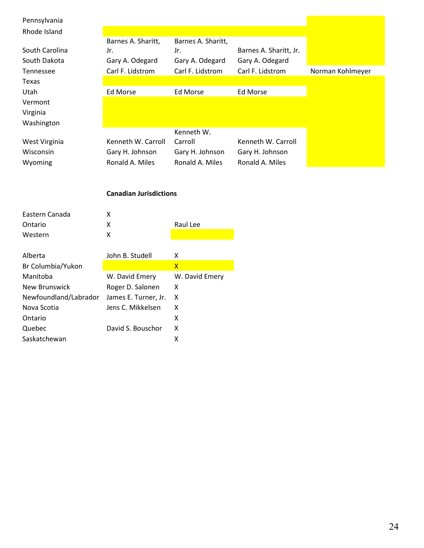| Pennsylvania          |                               |                    |                        |                  |
|-----------------------|-------------------------------|--------------------|------------------------|------------------|
| Rhode Island          |                               |                    |                        |                  |
|                       | Barnes A. Sharitt,            | Barnes A. Sharitt, |                        |                  |
| South Carolina        | Jr.                           | Jr.                | Barnes A. Sharitt, Jr. |                  |
| South Dakota          | Gary A. Odegard               | Gary A. Odegard    | Gary A. Odegard        |                  |
| Tennessee             | Carl F. Lidstrom              | Carl F. Lidstrom   | Carl F. Lidstrom       | Norman Kohlmeyer |
| Texas                 |                               |                    |                        |                  |
| Utah                  | Ed Morse                      | <b>Ed Morse</b>    | <b>Ed Morse</b>        |                  |
| Vermont               |                               |                    |                        |                  |
| Virginia              |                               |                    |                        |                  |
| Washington            |                               |                    |                        |                  |
|                       |                               | Kenneth W.         |                        |                  |
| West Virginia         | Kenneth W. Carroll            | Carroll            | Kenneth W. Carroll     |                  |
| Wisconsin             | Gary H. Johnson               | Gary H. Johnson    | Gary H. Johnson        |                  |
| Wyoming               | Ronald A. Miles               | Ronald A. Miles    | Ronald A. Miles        |                  |
|                       |                               |                    |                        |                  |
|                       | <b>Canadian Jurisdictions</b> |                    |                        |                  |
|                       |                               |                    |                        |                  |
| Eastern Canada        | X                             |                    |                        |                  |
| Ontario               | X                             | Raul Lee           |                        |                  |
| Western               | $\pmb{\mathsf{X}}$            |                    |                        |                  |
|                       |                               |                    |                        |                  |
| Alberta               | John B. Studell               | X                  |                        |                  |
| Br Columbia/Yukon     |                               | $\mathsf{X}$       |                        |                  |
| Manitoba              | W. David Emery                | W. David Emery     |                        |                  |
| <b>New Brunswick</b>  | Roger D. Salonen              | X                  |                        |                  |
| Newfoundland/Labrador | James E. Turner, Jr.          | X                  |                        |                  |
| Nova Scotia           | Jens C. Mikkelsen             | X                  |                        |                  |

Ontario X Quebec David S. Bouschor X Saskatchewan X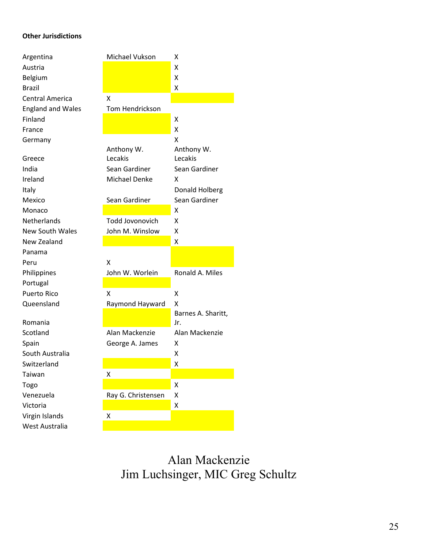#### **Other Jurisdictions**

| Argentina                | Michael Vukson         | x                  |
|--------------------------|------------------------|--------------------|
| Austria                  |                        | x                  |
| Belgium                  |                        | x                  |
| <b>Brazil</b>            |                        | x                  |
| <b>Central America</b>   | x                      |                    |
| <b>England and Wales</b> | Tom Hendrickson        |                    |
| Finland                  |                        | x                  |
| France                   |                        | Χ                  |
| Germany                  |                        | X                  |
|                          | Anthony W.             | Anthony W.         |
| Greece                   | Lecakis                | Lecakis            |
| India                    | Sean Gardiner          | Sean Gardiner      |
| Ireland                  | <b>Michael Denke</b>   | x                  |
| Italy                    |                        | Donald Holberg     |
| Mexico                   | Sean Gardiner          | Sean Gardiner      |
| Monaco                   |                        | X                  |
| <b>Netherlands</b>       | <b>Todd Jovonovich</b> | x                  |
| <b>New South Wales</b>   | John M. Winslow        | Χ                  |
|                          |                        |                    |
| New Zealand              |                        | x                  |
| Panama                   |                        |                    |
| Peru                     | X                      |                    |
| Philippines              | John W. Worlein        | Ronald A. Miles    |
| Portugal                 |                        |                    |
| Puerto Rico              | Χ                      | X                  |
| Queensland               | Raymond Hayward        | x                  |
|                          |                        | Barnes A. Sharitt, |
| Romania                  |                        | Jr.                |
| Scotland                 | Alan Mackenzie         | Alan Mackenzie     |
| Spain                    | George A. James        | x                  |
| South Australia          |                        | x                  |
| Switzerland              |                        | х                  |
| Taiwan                   | X                      |                    |
| Togo                     |                        | Χ                  |
| Venezuela                | Ray G. Christensen     | X                  |
| Victoria                 |                        | Χ                  |
| Virgin Islands           | Χ                      |                    |

Alan Mackenzie Jim Luchsinger, MIC Greg Schultz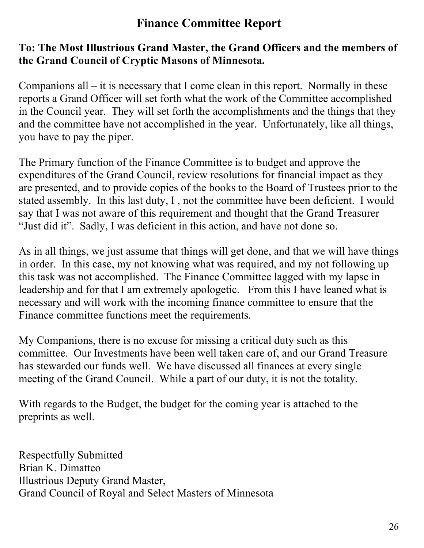# **Finance Committee Report**

### **To: The Most Illustrious Grand Master, the Grand Officers and the members of the Grand Council of Cryptic Masons of Minnesota.**

Companions all  $-$  it is necessary that I come clean in this report. Normally in these reports a Grand Officer will set forth what the work of the Committee accomplished in the Council year. They will set forth the accomplishments and the things that they and the committee have not accomplished in the year. Unfortunately, like all things, you have to pay the piper.

The Primary function of the Finance Committee is to budget and approve the expenditures of the Grand Council, review resolutions for financial impact as they are presented, and to provide copies of the books to the Board of Trustees prior to the stated assembly. In this last duty, I , not the committee have been deficient. I would say that I was not aware of this requirement and thought that the Grand Treasurer "Just did it". Sadly, I was deficient in this action, and have not done so.

As in all things, we just assume that things will get done, and that we will have things in order. In this case, my not knowing what was required, and my not following up this task was not accomplished. The Finance Committee lagged with my lapse in leadership and for that I am extremely apologetic. From this I have leaned what is necessary and will work with the incoming finance committee to ensure that the Finance committee functions meet the requirements.

My Companions, there is no excuse for missing a critical duty such as this committee. Our Investments have been well taken care of, and our Grand Treasure has stewarded our funds well. We have discussed all finances at every single meeting of the Grand Council. While a part of our duty, it is not the totality.

With regards to the Budget, the budget for the coming year is attached to the preprints as well.

Respectfully Submitted Brian K. Dimatteo Illustrious Deputy Grand Master, Grand Council of Royal and Select Masters of Minnesota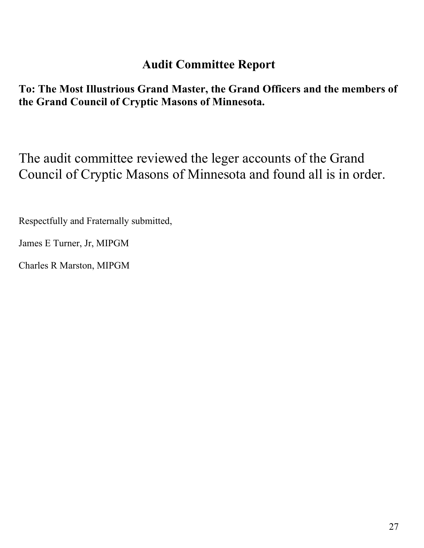# **Audit Committee Report**

**To: The Most Illustrious Grand Master, the Grand Officers and the members of the Grand Council of Cryptic Masons of Minnesota.**

The audit committee reviewed the leger accounts of the Grand Council of Cryptic Masons of Minnesota and found all is in order.

Respectfully and Fraternally submitted,

James E Turner, Jr, MIPGM

Charles R Marston, MIPGM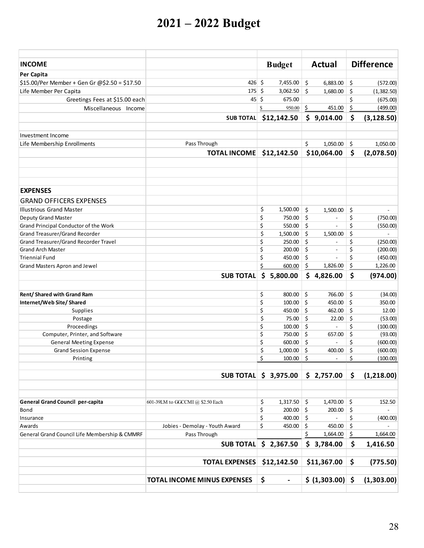# **2021 – 2022 Budget**

| <b>INCOME</b>                                           |                                    | <b>Budget</b>                  | <b>Actual</b>                  |          | <b>Difference</b> |
|---------------------------------------------------------|------------------------------------|--------------------------------|--------------------------------|----------|-------------------|
| Per Capita                                              |                                    |                                |                                |          |                   |
| \$15.00/Per Member + Gen Gr @\$2.50 = \$17.50           | 426 \$                             | 7,455.00                       | \$<br>6,883.00                 | \$       | (572.00)          |
| Life Member Per Capita                                  | 175                                | \$<br>3,062.50                 | \$<br>1,680.00                 | \$       | (1,382.50)        |
| Greetings Fees at \$15.00 each                          | $45 \,$ \$                         | 675.00                         |                                | \$       | (675.00)          |
| Miscellaneous Income                                    |                                    | 950.00<br>S                    | \$<br>451.00                   | \$       | (499.00)          |
|                                                         | <b>SUB TOTAL</b>                   | \$12,142.50                    | \$<br>9,014.00                 | \$       | (3, 128.50)       |
|                                                         |                                    |                                |                                |          |                   |
| Investment Income<br>Life Membership Enrollments        | Pass Through                       |                                | \$<br>1,050.00                 |          |                   |
|                                                         |                                    |                                |                                | \$       | 1,050.00          |
|                                                         | <b>TOTAL INCOME</b>                | \$12,142.50                    | \$10,064.00                    | \$       | (2,078.50)        |
|                                                         |                                    |                                |                                |          |                   |
| <b>EXPENSES</b>                                         |                                    |                                |                                |          |                   |
| <b>GRAND OFFICERS EXPENSES</b>                          |                                    |                                |                                |          |                   |
| <b>Illustrious Grand Master</b>                         |                                    | \$<br>1,500.00                 | \$<br>1,500.00                 | \$       | $\sim$            |
| Deputy Grand Master                                     |                                    | \$<br>750.00                   | \$<br>$\overline{a}$           | \$       | (750.00)          |
| Grand Principal Conductor of the Work                   |                                    | \$<br>550.00                   | \$                             | \$       | (550.00)          |
| Grand Treasurer/Grand Recorder                          |                                    | \$<br>1,500.00                 | \$<br>1,500.00                 | \$       |                   |
| <b>Grand Treasurer/Grand Recorder Travel</b>            |                                    | \$<br>250.00                   | \$                             | \$       | (250.00)          |
| <b>Grand Arch Master</b>                                |                                    | \$<br>200.00                   | \$<br>$\overline{\phantom{a}}$ | \$       | (200.00)          |
| <b>Triennial Fund</b>                                   |                                    | \$<br>450.00                   | \$                             | \$       | (450.00)          |
| Grand Masters Apron and Jewel                           |                                    | \$<br>600.00                   | \$<br>1,826.00                 | \$       | 1,226.00          |
|                                                         | <b>SUB TOTAL</b>                   | \$<br>5,800.00                 | \$<br>4,826.00                 | \$       | (974.00)          |
|                                                         |                                    | 800.00                         | 766.00                         |          |                   |
| Rent/Shared with Grand Ram<br>Internet/Web Site/ Shared |                                    | \$<br>\$<br>100.00             | \$<br>$\vert$ \$<br>450.00     | \$<br>\$ | (34.00)<br>350.00 |
| Supplies                                                |                                    | \$<br>450.00                   | $\zeta$<br>462.00              | \$       | 12.00             |
| Postage                                                 |                                    | \$<br>75.00                    | $\zeta$<br>22.00               | \$       | (53.00)           |
| Proceedings                                             |                                    | \$<br>100.00                   | $\zeta$<br>$\blacksquare$      | \$       | (100.00)          |
| Computer, Printer, and Software                         |                                    | \$<br>750.00                   | $\ddot{\mathsf{S}}$<br>657.00  | \$       | (93.00)           |
| <b>General Meeting Expense</b>                          |                                    | \$<br>600.00                   | \$<br>$\overline{\phantom{a}}$ | \$       | (600.00)          |
| <b>Grand Session Expense</b>                            |                                    | \$<br>1,000.00                 | \$<br>400.00                   | \$       | (600.00)          |
| Printing                                                |                                    | \$<br>100.00                   | \$                             | \$       | (100.00)          |
|                                                         |                                    |                                |                                |          |                   |
|                                                         | <b>SUB TOTAL</b>                   | \$3,975.00                     | \$2,757.00                     | \$       | (1,218.00)        |
| <b>General Grand Council per-capita</b>                 | 601-39LM to GGCCMI @ \$2.50 Each   | \$                             | 1,470.00                       |          | 152.50            |
| Bond                                                    |                                    | 1,317.50<br>\$<br>200.00       | \$<br>$\vert$ \$<br>200.00     | \$<br>\$ |                   |
| Insurance                                               |                                    | \$<br>400.00 \$                | $\overline{a}$                 | \$       | (400.00)          |
| Awards                                                  | Jobies - Demolay - Youth Award     | \$<br>450.00                   | \$<br>450.00                   | \$       |                   |
| General Grand Council Life Membership & CMMRF           | Pass Through                       |                                | \$<br>1,664.00                 | \$       | 1,664.00          |
|                                                         | <b>SUB TOTAL</b>                   | \$2,367.50                     | \$3,784.00                     | \$       | 1,416.50          |
|                                                         |                                    |                                |                                |          |                   |
|                                                         | <b>TOTAL EXPENSES</b>              | \$12,142.50                    | \$11,367.00                    | \$       | (775.50)          |
|                                                         | <b>TOTAL INCOME MINUS EXPENSES</b> | \$<br>$\overline{\phantom{a}}$ | $\frac{1}{2}$ (1,303.00) \$    |          | (1,303.00)        |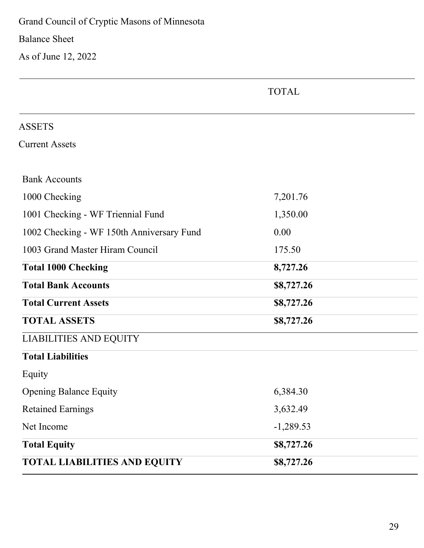Grand Council of Cryptic Masons of Minnesota

Balance Sheet

As of June 12, 2022

| <b>ASSETS</b>                             |             |
|-------------------------------------------|-------------|
| <b>Current Assets</b>                     |             |
|                                           |             |
| <b>Bank Accounts</b>                      |             |
| 1000 Checking                             | 7,201.76    |
| 1001 Checking - WF Triennial Fund         | 1,350.00    |
| 1002 Checking - WF 150th Anniversary Fund | 0.00        |
| 1003 Grand Master Hiram Council           | 175.50      |
| <b>Total 1000 Checking</b>                | 8,727.26    |
| <b>Total Bank Accounts</b>                | \$8,727.26  |
| <b>Total Current Assets</b>               | \$8,727.26  |
| <b>TOTAL ASSETS</b>                       | \$8,727.26  |
| <b>LIABILITIES AND EQUITY</b>             |             |
| <b>Total Liabilities</b>                  |             |
| Equity                                    |             |
| <b>Opening Balance Equity</b>             | 6,384.30    |
| <b>Retained Earnings</b>                  | 3,632.49    |
| Net Income                                | $-1,289.53$ |
| <b>Total Equity</b>                       | \$8,727.26  |
| <b>TOTAL LIABILITIES AND EQUITY</b>       | \$8,727.26  |

TOTAL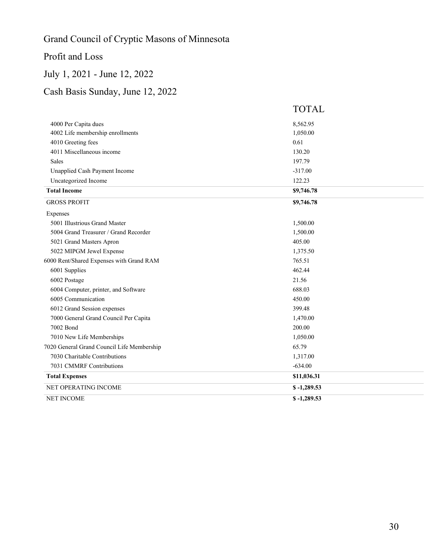# Grand Council of Cryptic Masons of Minnesota

### Profit and Loss

### July 1, 2021 - June 12, 2022

### Cash Basis Sunday, June 12, 2022

|                                            | <b>TOTAL</b> |
|--------------------------------------------|--------------|
| 4000 Per Capita dues                       | 8,562.95     |
| 4002 Life membership enrollments           | 1,050.00     |
| 4010 Greeting fees                         | 0.61         |
| 4011 Miscellaneous income                  | 130.20       |
| <b>Sales</b>                               | 197.79       |
| Unapplied Cash Payment Income              | $-317.00$    |
| Uncategorized Income                       | 122.23       |
| <b>Total Income</b>                        | \$9,746.78   |
| <b>GROSS PROFIT</b>                        | \$9,746.78   |
| Expenses                                   |              |
| 5001 Illustrious Grand Master              | 1,500.00     |
| 5004 Grand Treasurer / Grand Recorder      | 1,500.00     |
| 5021 Grand Masters Apron                   | 405.00       |
| 5022 MIPGM Jewel Expense                   | 1,375.50     |
| 6000 Rent/Shared Expenses with Grand RAM   | 765.51       |
| 6001 Supplies                              | 462.44       |
| 6002 Postage                               | 21.56        |
| 6004 Computer, printer, and Software       | 688.03       |
| 6005 Communication                         | 450.00       |
| 6012 Grand Session expenses                | 399.48       |
| 7000 General Grand Council Per Capita      | 1,470.00     |
| 7002 Bond                                  | 200.00       |
| 7010 New Life Memberships                  | 1,050.00     |
| 7020 General Grand Council Life Membership | 65.79        |
| 7030 Charitable Contributions              | 1,317.00     |
| 7031 CMMRF Contributions                   | $-634.00$    |
| <b>Total Expenses</b>                      | \$11,036.31  |
| NET OPERATING INCOME                       | $$-1,289.53$ |
| <b>NET INCOME</b>                          | $$-1,289.53$ |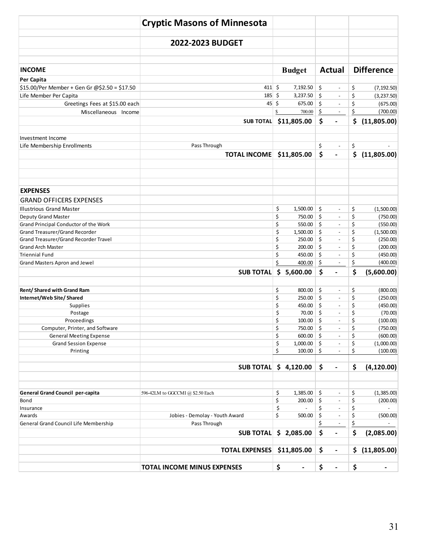|                                               | <b>Cryptic Masons of Minnesota</b> |                                 |                                                        |                                                    |
|-----------------------------------------------|------------------------------------|---------------------------------|--------------------------------------------------------|----------------------------------------------------|
|                                               | 2022-2023 BUDGET                   |                                 |                                                        |                                                    |
| <b>INCOME</b>                                 |                                    | <b>Budget</b>                   | <b>Actual</b>                                          | <b>Difference</b>                                  |
| Per Capita                                    |                                    |                                 |                                                        |                                                    |
| \$15.00/Per Member + Gen Gr @\$2.50 = \$17.50 | $411 \;$ \$                        | 7,192.50                        | \$<br>$\overline{\phantom{a}}$                         | \$<br>(7, 192.50)                                  |
| Life Member Per Capita                        | 185                                | $\ddot{\mathsf{S}}$<br>3,237.50 | \$<br>$\blacksquare$                                   | \$<br>(3, 237.50)                                  |
| Greetings Fees at \$15.00 each                | $45 \frac{1}{2}$                   | 675.00                          | \$<br>$\overline{\phantom{a}}$                         | \$<br>(675.00)                                     |
| Miscellaneous Income                          |                                    | 700.00                          | \$<br>$\overline{\phantom{a}}$                         | \$<br>(700.00)                                     |
|                                               | <b>SUB TOTAL</b>                   | \$11,805.00                     | \$                                                     | \$<br>(11,805.00)                                  |
| Investment Income                             |                                    |                                 |                                                        |                                                    |
| Life Membership Enrollments                   | Pass Through                       |                                 | \$<br>$\overline{\phantom{a}}$                         | \$                                                 |
|                                               | <b>TOTAL INCOME</b>                | \$11,805.00                     | \$<br>$\qquad \qquad \blacksquare$                     | \$<br>(11,805.00)                                  |
| <b>EXPENSES</b>                               |                                    |                                 |                                                        |                                                    |
| <b>GRAND OFFICERS EXPENSES</b>                |                                    |                                 |                                                        |                                                    |
| <b>Illustrious Grand Master</b>               |                                    | \$<br>1,500.00                  | \$<br>$\overline{\phantom{a}}$                         | \$<br>(1,500.00)                                   |
| Deputy Grand Master                           |                                    | \$<br>750.00                    | $\mathsf{S}$<br>$\overline{\phantom{a}}$               | \$<br>(750.00)                                     |
| Grand Principal Conductor of the Work         |                                    | \$<br>550.00                    | \$<br>$\overline{\phantom{a}}$                         | \$<br>(550.00)                                     |
| Grand Treasurer/Grand Recorder                |                                    | \$<br>$1,500.00$ \$             | $\overline{\phantom{a}}$                               | \$<br>(1,500.00)                                   |
| Grand Treasurer/Grand Recorder Travel         |                                    | \$<br>250.00                    | \$<br>$\overline{\phantom{a}}$                         | \$<br>(250.00)                                     |
| <b>Grand Arch Master</b>                      |                                    | \$<br>200.00                    | \$<br>$\overline{\phantom{a}}$                         | \$<br>(200.00)                                     |
| <b>Triennial Fund</b>                         |                                    | \$<br>450.00                    | \$<br>$\overline{\phantom{a}}$                         | \$<br>(450.00)                                     |
| Grand Masters Apron and Jewel                 |                                    | Ś<br>400.00                     | \$<br>$\overline{\phantom{a}}$                         | \$<br>(400.00)                                     |
|                                               | <b>SUB TOTAL</b>                   | \$5,600.00                      | \$<br>$\blacksquare$                                   | \$<br>(5,600.00)                                   |
| Rent/Shared with Grand Ram                    |                                    | \$<br>800.00                    | \$<br>$\overline{\phantom{a}}$                         | \$<br>(800.00)                                     |
| Internet/Web Site/Shared                      |                                    | \$<br>250.00                    | $\mathsf{S}$<br>$\overline{\phantom{a}}$               | \$<br>(250.00)                                     |
| Supplies                                      |                                    | \$<br>450.00                    | \$<br>$\overline{\phantom{a}}$                         | \$<br>(450.00)                                     |
| Postage                                       |                                    | \$<br>70.00                     | \$<br>$\overline{\phantom{a}}$                         | \$<br>(70.00)                                      |
| Proceedings                                   |                                    | \$<br>100.00                    | \$<br>$\blacksquare$                                   | \$<br>(100.00)                                     |
| Computer, Printer, and Software               |                                    | \$<br>750.00                    | \$<br>$\overline{\phantom{a}}$                         | \$<br>(750.00)                                     |
| <b>General Meeting Expense</b>                |                                    | \$<br>$600.00$ \$               |                                                        | \$<br>(600.00)                                     |
| <b>Grand Session Expense</b>                  |                                    | \$<br>1,000.00                  | \$<br>$\overline{\phantom{a}}$                         | \$<br>(1,000.00)                                   |
| Printing                                      |                                    | \$<br>100.00                    | \$<br>$\overline{\phantom{a}}$                         | \$<br>(100.00)                                     |
|                                               | <b>SUB TOTAL</b>                   | \$4,120.00                      | \$<br>$\blacksquare$                                   | \$<br>(4, 120.00)                                  |
| <b>General Grand Council per-capita</b>       | 596-42LM to GGCCMI @ \$2.50 Each   | \$<br>1,385.00                  | \$<br>$\overline{\phantom{a}}$                         | \$<br>(1,385.00)                                   |
| Bond                                          |                                    | \$<br>200.00                    | \$<br>$\overline{\phantom{a}}$                         | \$<br>(200.00)                                     |
| Insurance                                     |                                    | \$                              | \$<br>$\overline{\phantom{a}}$                         | \$<br>$\overline{\phantom{a}}$                     |
| Awards                                        | Jobies - Demolay - Youth Award     | \$<br>500.00                    | \$<br>$\overline{\phantom{a}}$                         | \$<br>(500.00)                                     |
| General Grand Council Life Membership         | Pass Through<br><b>SUB TOTAL</b>   | \$2,085.00                      | \$<br>$\overline{\phantom{a}}$<br>\$<br>$\blacksquare$ | \$<br>$\overline{\phantom{a}}$<br>\$<br>(2,085.00) |
|                                               | <b>TOTAL EXPENSES</b>              | \$11,805.00                     | \$<br>$\blacksquare$                                   | \$<br>(11,805.00)                                  |
|                                               |                                    |                                 |                                                        |                                                    |
|                                               | <b>TOTAL INCOME MINUS EXPENSES</b> | \$<br>$\blacksquare$            | \$<br>$\blacksquare$                                   | \$<br>$\blacksquare$                               |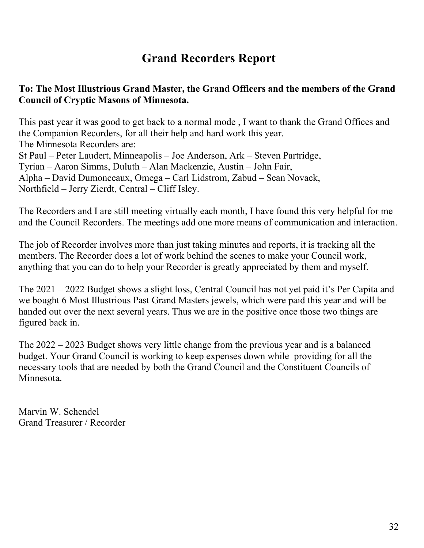# **Grand Recorders Report**

#### **To: The Most Illustrious Grand Master, the Grand Officers and the members of the Grand Council of Cryptic Masons of Minnesota.**

This past year it was good to get back to a normal mode , I want to thank the Grand Offices and the Companion Recorders, for all their help and hard work this year. The Minnesota Recorders are: St Paul – Peter Laudert, Minneapolis – Joe Anderson, Ark – Steven Partridge, Tyrian – Aaron Simms, Duluth – Alan Mackenzie, Austin – John Fair, Alpha – David Dumonceaux, Omega – Carl Lidstrom, Zabud – Sean Novack, Northfield – Jerry Zierdt, Central – Cliff Isley.

The Recorders and I are still meeting virtually each month, I have found this very helpful for me and the Council Recorders. The meetings add one more means of communication and interaction.

The job of Recorder involves more than just taking minutes and reports, it is tracking all the members. The Recorder does a lot of work behind the scenes to make your Council work, anything that you can do to help your Recorder is greatly appreciated by them and myself.

The 2021 – 2022 Budget shows a slight loss, Central Council has not yet paid it's Per Capita and we bought 6 Most Illustrious Past Grand Masters jewels, which were paid this year and will be handed out over the next several years. Thus we are in the positive once those two things are figured back in.

The 2022 – 2023 Budget shows very little change from the previous year and is a balanced budget. Your Grand Council is working to keep expenses down while providing for all the necessary tools that are needed by both the Grand Council and the Constituent Councils of Minnesota.

Marvin W. Schendel Grand Treasurer / Recorder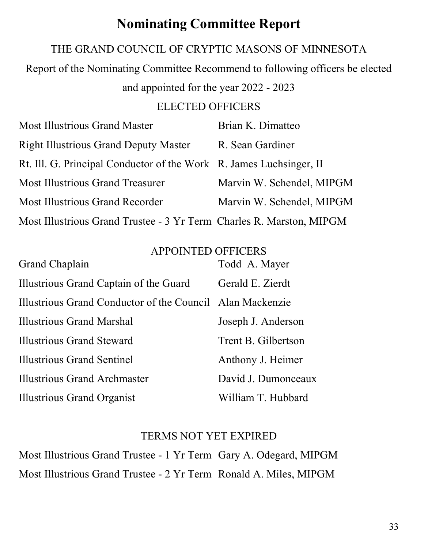# **Nominating Committee Report**

### THE GRAND COUNCIL OF CRYPTIC MASONS OF MINNESOTA

Report of the Nominating Committee Recommend to following officers be elected

and appointed for the year 2022 - 2023

### ELECTED OFFICERS

| <b>Most Illustrious Grand Master</b>                                 | Brian K. Dimatteo         |
|----------------------------------------------------------------------|---------------------------|
| <b>Right Illustrious Grand Deputy Master</b>                         | R. Sean Gardiner          |
| Rt. Ill. G. Principal Conductor of the Work R. James Luchsinger, II  |                           |
| <b>Most Illustrious Grand Treasurer</b>                              | Marvin W. Schendel, MIPGM |
| <b>Most Illustrious Grand Recorder</b>                               | Marvin W. Schendel, MIPGM |
| Most Illustrious Grand Trustee - 3 Yr Term Charles R. Marston, MIPGM |                           |

#### APPOINTED OFFICERS

| Grand Chaplain                                            | Todd A. Mayer       |
|-----------------------------------------------------------|---------------------|
| Illustrious Grand Captain of the Guard                    | Gerald E. Zierdt    |
| Illustrious Grand Conductor of the Council Alan Mackenzie |                     |
| Illustrious Grand Marshal                                 | Joseph J. Anderson  |
| Illustrious Grand Steward                                 | Trent B. Gilbertson |
| Illustrious Grand Sentinel                                | Anthony J. Heimer   |
| Illustrious Grand Archmaster                              | David J. Dumonceaux |
| <b>Illustrious Grand Organist</b>                         | William T. Hubbard  |

### TERMS NOT YET EXPIRED

Most Illustrious Grand Trustee - 1 Yr Term Gary A. Odegard, MIPGM Most Illustrious Grand Trustee - 2 Yr Term Ronald A. Miles, MIPGM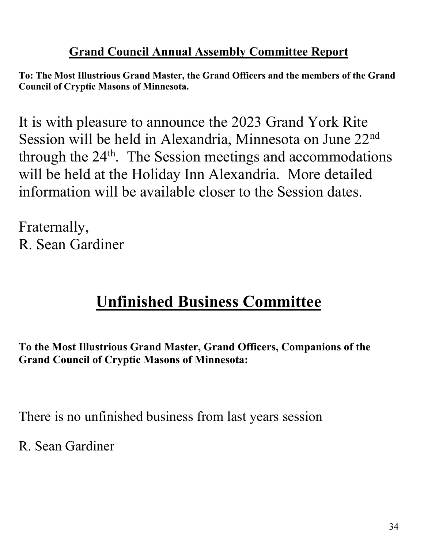# **Grand Council Annual Assembly Committee Report**

**To: The Most Illustrious Grand Master, the Grand Officers and the members of the Grand Council of Cryptic Masons of Minnesota.**

It is with pleasure to announce the 2023 Grand York Rite Session will be held in Alexandria, Minnesota on June 22nd through the  $24<sup>th</sup>$ . The Session meetings and accommodations will be held at the Holiday Inn Alexandria. More detailed information will be available closer to the Session dates.

Fraternally, R. Sean Gardiner

# **Unfinished Business Committee**

**To the Most Illustrious Grand Master, Grand Officers, Companions of the Grand Council of Cryptic Masons of Minnesota:**

There is no unfinished business from last years session

R. Sean Gardiner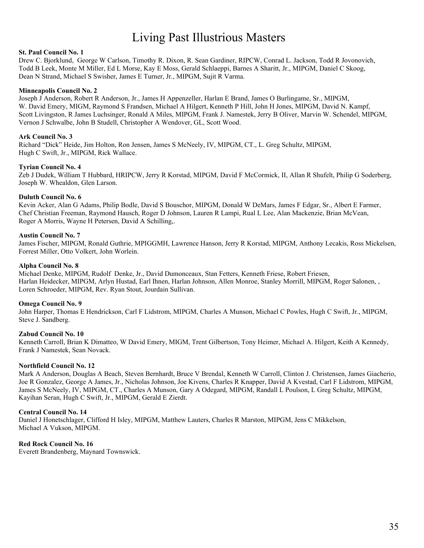# Living Past Illustrious Masters

#### **St. Paul Council No. 1**

Drew C. Bjorklund, George W Carlson, Timothy R. Dixon, R. Sean Gardiner, RIPCW, Conrad L. Jackson, Todd R Jovonovich, Todd B Leek, Monte M Miller, Ed L Morse, Kay E Moss, Gerald Schlaeppi, Barnes A Sharitt, Jr., MIPGM, Daniel C Skoog, Dean N Strand, Michael S Swisher, James E Turner, Jr., MIPGM, Sujit R Varma.

#### **Minneapolis Council No. 2**

Joseph J Anderson, Robert R Anderson, Jr., James H Appenzeller, Harlan E Brand, James O Burlingame, Sr., MIPGM, W. David Emery, MIGM, Raymond S Frandsen, Michael A Hilgert, Kenneth P Hill, John H Jones, MIPGM, David N. Kampf, Scott Livingston, R James Luchsinger, Ronald A Miles, MIPGM, Frank J. Namestek, Jerry B Oliver, Marvin W. Schendel, MIPGM, Vernon J Schwalbe, John B Studell, Christopher A Wendover, GL, Scott Wood.

#### **Ark Council No. 3**

Richard "Dick" Heide, Jim Holton, Ron Jensen, James S McNeely, IV, MIPGM, CT., L. Greg Schultz, MIPGM, Hugh C Swift, Jr., MIPGM, Rick Wallace.

#### **Tyrian Council No. 4**

Zeb J Dudek, William T Hubbard, HRIPCW, Jerry R Korstad, MIPGM, David F McCormick, II, Allan R Shufelt, Philip G Soderberg, Joseph W. Whealdon, Glen Larson.

#### **Duluth Council No. 6**

Kevin Acker, Alan G Adams, Philip Bodle, David S Bouschor, MIPGM, Donald W DeMars, James F Edgar, Sr., Albert E Farmer, Chef Christian Freeman, Raymond Hausch, Roger D Johnson, Lauren R Lampi, Rual L Lee, Alan Mackenzie, Brian McVean, Roger A Morris, Wayne H Petersen, David A Schilling,.

#### **Austin Council No. 7**

James Fischer, MIPGM, Ronald Guthrie, MPIGGMH, Lawrence Hanson, Jerry R Korstad, MIPGM, Anthony Lecakis, Ross Mickelsen, Forrest Miller, Otto Volkert, John Worlein.

#### **Alpha Council No. 8**

Michael Denke, MIPGM, Rudolf Denke, Jr., David Dumonceaux, Stan Fetters, Kenneth Friese, Robert Friesen, Harlan Heidecker, MIPGM, Arlyn Hustad, Earl Ihnen, Harlan Johnson, Allen Monroe, Stanley Morrill, MIPGM, Roger Salonen, , Loren Schroeder, MIPGM, Rev. Ryan Stout, Jourdain Sullivan.

#### **Omega Council No. 9**

John Harper, Thomas E Hendrickson, Carl F Lidstrom, MIPGM, Charles A Munson, Michael C Powles, Hugh C Swift, Jr., MIPGM, Steve J. Sandberg.

#### **Zabud Council No. 10**

Kenneth Carroll, Brian K Dimatteo, W David Emery, MIGM, Trent Gilbertson, Tony Heimer, Michael A. Hilgert, Keith A Kennedy, Frank J Namestek, Sean Novack.

#### **Northfield Council No. 12**

Mark A Anderson, Douglas A Beach, Steven Bernhardt, Bruce V Brendal, Kenneth W Carroll, Clinton J. Christensen, James Giacherio, Joe R Gonzalez, George A James, Jr., Nicholas Johnson, Joe Kivens, Charles R Knapper, David A Kvestad, Carl F Lidstrom, MIPGM, James S McNeely, IV, MIPGM, CT., Charles A Munson, Gary A Odegard, MIPGM, Randall L Poulson, L Greg Schultz, MIPGM, Kayihan Seran, Hugh C Swift, Jr., MIPGM, Gerald E Zierdt.

#### **Central Council No. 14**

Daniel J Honetschlager, Clifford H Isley, MIPGM, Matthew Lauters, Charles R Marston, MIPGM, Jens C Mikkelson, Michael A Vukson, MIPGM.

#### **Red Rock Council No. 16**

Everett Brandenberg, Maynard Townswick.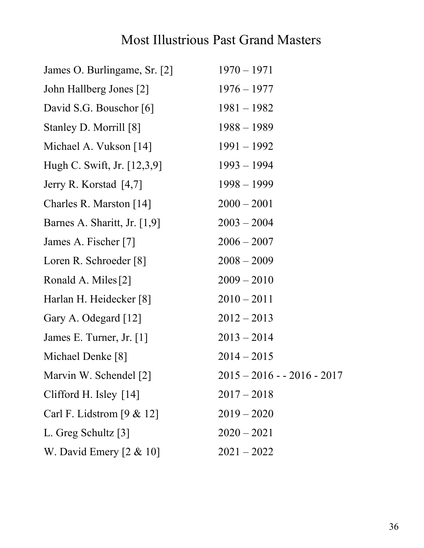# Most Illustrious Past Grand Masters

| James O. Burlingame, Sr. [2]   | $1970 - 1971$               |
|--------------------------------|-----------------------------|
| John Hallberg Jones [2]        | $1976 - 1977$               |
| David S.G. Bouschor [6]        | $1981 - 1982$               |
| Stanley D. Morrill [8]         | $1988 - 1989$               |
| Michael A. Vukson [14]         | $1991 - 1992$               |
| Hugh C. Swift, Jr. [12,3,9]    | $1993 - 1994$               |
| Jerry R. Korstad [4,7]         | $1998 - 1999$               |
| Charles R. Marston [14]        | $2000 - 2001$               |
| Barnes A. Sharitt, Jr. $[1,9]$ | $2003 - 2004$               |
| James A. Fischer [7]           | $2006 - 2007$               |
| Loren R. Schroeder [8]         | $2008 - 2009$               |
| Ronald A. Miles [2]            | $2009 - 2010$               |
| Harlan H. Heidecker [8]        | $2010 - 2011$               |
| Gary A. Odegard [12]           | $2012 - 2013$               |
| James E. Turner, Jr. [1]       | $2013 - 2014$               |
| Michael Denke [8]              | $2014 - 2015$               |
| Marvin W. Schendel [2]         | $2015 - 2016 - 2016 - 2017$ |
| Clifford H. Isley $[14]$       | $2017 - 2018$               |
| Carl F. Lidstrom $[9 \& 12]$   | $2019 - 2020$               |
| L. Greg Schultz [3]            | $2020 - 2021$               |
| W. David Emery $[2 \& 10]$     | $2021 - 2022$               |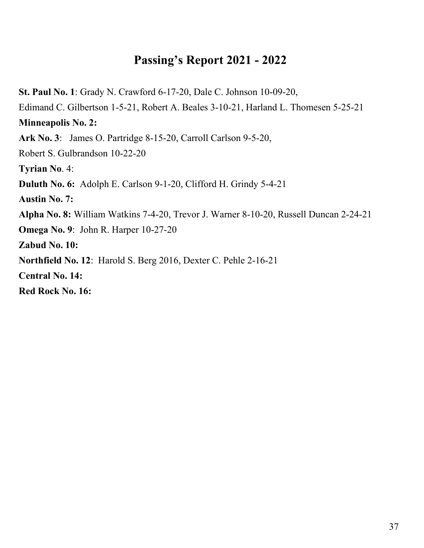# **Passing's Report 2021 - 2022**

**St. Paul No. 1**: Grady N. Crawford 6-17-20, Dale C. Johnson 10-09-20, Edimand C. Gilbertson 1-5-21, Robert A. Beales 3-10-21, Harland L. Thomesen 5-25-21 **Minneapolis No. 2: Ark No. 3**: James O. Partridge 8-15-20, Carroll Carlson 9-5-20, Robert S. Gulbrandson 10-22-20 **Tyrian No**. 4: **Duluth No. 6:** Adolph E. Carlson 9-1-20, Clifford H. Grindy 5-4-21 **Austin No. 7: Alpha No. 8:** William Watkins 7-4-20, Trevor J. Warner 8-10-20, Russell Duncan 2-24-21 **Omega No. 9**: John R. Harper 10-27-20 **Zabud No. 10: Northfield No. 12**: Harold S. Berg 2016, Dexter C. Pehle 2-16-21 **Central No. 14: Red Rock No. 16:**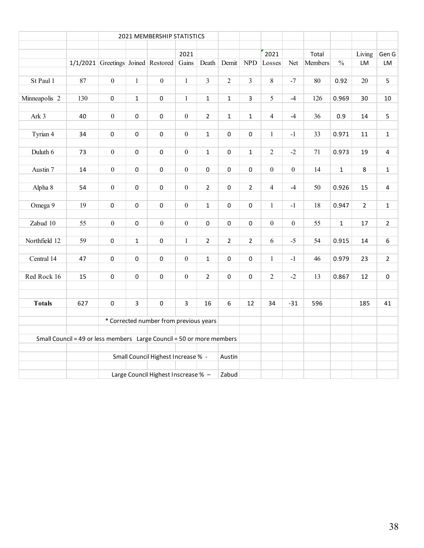|               |                                                                          | 2021 MEMBERSHIP STATISTICS          |              |                     |                  |                |                |                |                  |                  |         |               |                |                         |
|---------------|--------------------------------------------------------------------------|-------------------------------------|--------------|---------------------|------------------|----------------|----------------|----------------|------------------|------------------|---------|---------------|----------------|-------------------------|
|               |                                                                          |                                     |              |                     | 2021             |                |                |                | 2021             |                  | Total   |               | Living         |                         |
|               |                                                                          | 1/1/2021 Greetings Joined Restored  |              |                     | Gains            | Death          | Demit          | ${\rm NPD}$    | Losses           | Net              | Members | $\frac{0}{0}$ | LM             | Gen G<br>LM             |
|               |                                                                          |                                     |              |                     |                  |                |                |                |                  |                  |         |               |                |                         |
| St Paul 1     | 87                                                                       | $\mathbf{0}$                        | $\mathbf{1}$ | $\overline{0}$      | $\mathbf{1}$     | $\overline{3}$ | $\overline{2}$ | $\overline{3}$ | 8                | $-7$             | 80      | 0.92          | 20             | 5                       |
|               |                                                                          |                                     |              |                     |                  |                |                |                |                  |                  |         |               |                |                         |
| Minneapolis 2 | 130                                                                      | $\pmb{0}$                           | $\mathbf 1$  | $\mathbf 0$         | $\mathbf{1}$     | $\mathbf{1}$   | $\mathbf 1$    | $\overline{3}$ | 5                | $-4$             | 126     | 0.969         | 30             | $10\,$                  |
| Ark 3         | 40                                                                       | $\boldsymbol{0}$                    | $\pmb{0}$    | $\mathbf 0$         | $\boldsymbol{0}$ | $\overline{2}$ | $\mathbf{1}$   | $\mathbf{1}$   | $\overline{4}$   | $-4$             | 36      | 0.9           | 14             | 5                       |
|               |                                                                          |                                     |              |                     |                  |                |                |                |                  |                  |         |               |                |                         |
| Tyrian 4      | 34                                                                       | $\pmb{0}$                           | 0            | 0                   | $\boldsymbol{0}$ | $\mathbf{1}$   | 0              | 0              | $\mathbf{1}$     | $-1$             | 33      | 0.971         | $11\,$         | $\mathbf{1}$            |
|               |                                                                          |                                     |              |                     |                  |                |                |                |                  |                  |         |               |                |                         |
| Duluth 6      | 73                                                                       | $\boldsymbol{0}$                    | $\mathbf 0$  | $\pmb{0}$           | $\boldsymbol{0}$ | $\mathbf{1}$   | $\mathbf 0$    | $\mathbf{1}$   | $\overline{2}$   | $-2$             | 71      | 0.973         | 19             | $\overline{4}$          |
| Austin 7      | 14                                                                       | $\boldsymbol{0}$                    | $\pmb{0}$    | $\pmb{0}$           | $\boldsymbol{0}$ | $\pmb{0}$      | $\mathbf 0$    | $\mathbf 0$    | $\boldsymbol{0}$ | $\boldsymbol{0}$ | 14      | $\mathbf{1}$  | 8              | $\mathbf 1$             |
|               |                                                                          |                                     |              |                     |                  |                |                |                |                  |                  |         |               |                |                         |
| Alpha 8       | 54                                                                       | $\boldsymbol{0}$                    | $\mathbf 0$  | $\pmb{0}$           | $\overline{0}$   | $\overline{2}$ | $\mathbf 0$    | $\overline{2}$ | $\overline{4}$   | $-4$             | 50      | 0.926         | 15             | $\overline{\mathbf{4}}$ |
|               |                                                                          |                                     |              |                     |                  |                |                |                |                  |                  |         |               |                |                         |
| Omega 9       | 19                                                                       | $\pmb{0}$                           | $\pmb{0}$    | $\mathsf{O}\xspace$ | $\boldsymbol{0}$ | $\mathbf{1}$   | $\mathbf 0$    | $\pmb{0}$      | $\mathbf{1}$     | $-1$             | 18      | 0.947         | $\overline{2}$ | $\mathbf 1$             |
|               |                                                                          |                                     |              |                     | $\boldsymbol{0}$ |                |                |                |                  |                  |         |               |                |                         |
| Zabud 10      | 55                                                                       | $\boldsymbol{0}$                    | 0            | $\boldsymbol{0}$    |                  | $\pmb{0}$      | $\pmb{0}$      | $\pmb{0}$      | $\boldsymbol{0}$ | $\boldsymbol{0}$ | 55      | $\mathbf 1$   | 17             | $\overline{2}$          |
| Northfield 12 | 59                                                                       | 0                                   | $\mathbf{1}$ | 0                   | $\mathbf{1}$     | $\overline{2}$ | $\overline{2}$ | $\overline{2}$ | 6                | $-5$             | 54      | 0.915         | 14             | 6                       |
|               |                                                                          |                                     |              |                     |                  |                |                |                |                  |                  |         |               |                |                         |
| Central 14    | 47                                                                       | $\pmb{0}$                           | $\pmb{0}$    | $\pmb{0}$           | $\boldsymbol{0}$ | $\mathbf{1}$   | $\Omega$       | $\Omega$       | $\mathbf{1}$     | $-1$             | 46      | 0.979         | 23             | $\overline{2}$          |
|               |                                                                          |                                     |              |                     |                  |                |                |                |                  |                  |         |               |                |                         |
| Red Rock 16   | 15                                                                       | $\pmb{0}$                           | $\pmb{0}$    | $\pmb{0}$           | $\mathbf{0}$     | $\overline{2}$ | $\pmb{0}$      | $\mathbf 0$    | $\overline{2}$   | $-2$             | 13      | 0.867         | 12             | $\pmb{0}$               |
|               |                                                                          |                                     |              |                     |                  |                |                |                |                  |                  |         |               |                |                         |
| <b>Totals</b> | 627                                                                      | $\mathsf 0$                         | 3            | $\pmb{0}$           | $\overline{3}$   | 16             | 6              | 12             | 34               | $-31$            | 596     |               | 185            | 41                      |
|               |                                                                          |                                     |              |                     |                  |                |                |                |                  |                  |         |               |                |                         |
|               | * Corrected number from previous years                                   |                                     |              |                     |                  |                |                |                |                  |                  |         |               |                |                         |
|               |                                                                          |                                     |              |                     |                  |                |                |                |                  |                  |         |               |                |                         |
|               | Small Council = 49 or less members    Large Council = 50 or more members |                                     |              |                     |                  |                |                |                |                  |                  |         |               |                |                         |
|               |                                                                          | Small Council Highest Increase % -  |              |                     |                  |                | Austin         |                |                  |                  |         |               |                |                         |
|               |                                                                          |                                     |              |                     |                  |                |                |                |                  |                  |         |               |                |                         |
|               |                                                                          | Large Council Highest Inscrease % - |              |                     |                  |                |                |                |                  |                  |         |               |                |                         |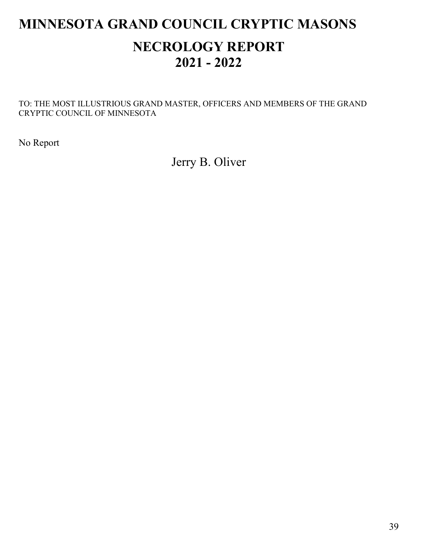# **MINNESOTA GRAND COUNCIL CRYPTIC MASONS NECROLOGY REPORT 2021 - 2022**

TO: THE MOST ILLUSTRIOUS GRAND MASTER, OFFICERS AND MEMBERS OF THE GRAND CRYPTIC COUNCIL OF MINNESOTA

No Report

Jerry B. Oliver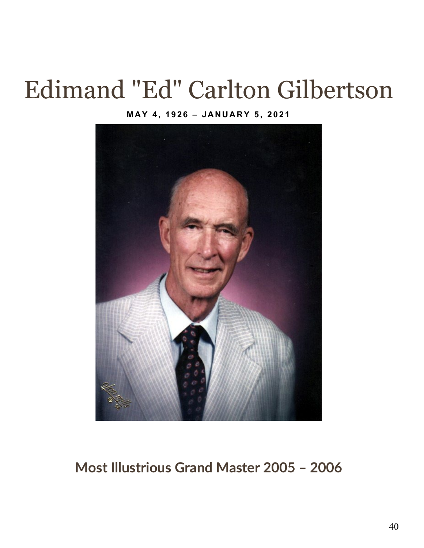# Edimand "Ed" Carlton Gilbertson

#### **MAY 4, 1926 – JANUARY 5, 2021**



# **Most Illustrious Grand Master 2005 – 2006**